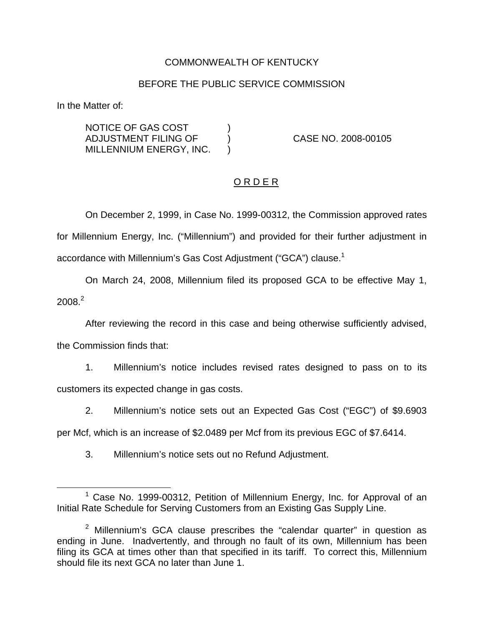### COMMONWEALTH OF KENTUCKY

## BEFORE THE PUBLIC SERVICE COMMISSION

In the Matter of:

NOTICE OF GAS COST  $|$ ADJUSTMENT FILING OF ) CASE NO. 2008-00105 MILLENNIUM ENERGY, INC. )

# O R D E R

On December 2, 1999, in Case No. 1999-00312, the Commission approved rates for Millennium Energy, Inc. ("Millennium") and provided for their further adjustment in accordance with Millennium's Gas Cost Adjustment ("GCA") clause.<sup>1</sup>

On March 24, 2008, Millennium filed its proposed GCA to be effective May 1,  $2008.<sup>2</sup>$ 

After reviewing the record in this case and being otherwise sufficiently advised,

the Commission finds that:

1. Millennium's notice includes revised rates designed to pass on to its customers its expected change in gas costs.

2. Millennium's notice sets out an Expected Gas Cost ("EGC") of \$9.6903

per Mcf, which is an increase of \$2.0489 per Mcf from its previous EGC of \$7.6414.

3. Millennium's notice sets out no Refund Adjustment.

 $1$  Case No. 1999-00312, Petition of Millennium Energy, Inc. for Approval of an Initial Rate Schedule for Serving Customers from an Existing Gas Supply Line.

 $2$  Millennium's GCA clause prescribes the "calendar quarter" in question as ending in June. Inadvertently, and through no fault of its own, Millennium has been filing its GCA at times other than that specified in its tariff. To correct this, Millennium should file its next GCA no later than June 1.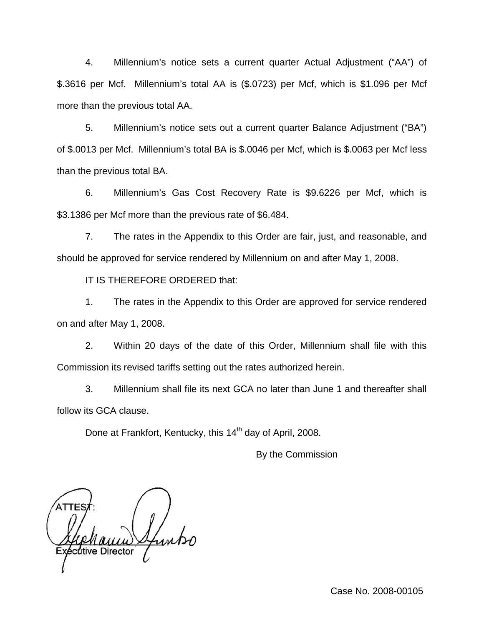4. Millennium's notice sets a current quarter Actual Adjustment ("AA") of \$.3616 per Mcf. Millennium's total AA is (\$.0723) per Mcf, which is \$1.096 per Mcf more than the previous total AA.

5. Millennium's notice sets out a current quarter Balance Adjustment ("BA") of \$.0013 per Mcf. Millennium's total BA is \$.0046 per Mcf, which is \$.0063 per Mcf less than the previous total BA.

6. Millennium's Gas Cost Recovery Rate is \$9.6226 per Mcf, which is \$3.1386 per Mcf more than the previous rate of \$6.484.

7. The rates in the Appendix to this Order are fair, just, and reasonable, and should be approved for service rendered by Millennium on and after May 1, 2008.

IT IS THEREFORE ORDERED that:

1. The rates in the Appendix to this Order are approved for service rendered on and after May 1, 2008.

2. Within 20 days of the date of this Order, Millennium shall file with this Commission its revised tariffs setting out the rates authorized herein.

3. Millennium shall file its next GCA no later than June 1 and thereafter shall follow its GCA clause.

Done at Frankfort, Kentucky, this 14<sup>th</sup> day of April, 2008.

By the Commission

Exécutive Director

Case No. 2008-00105